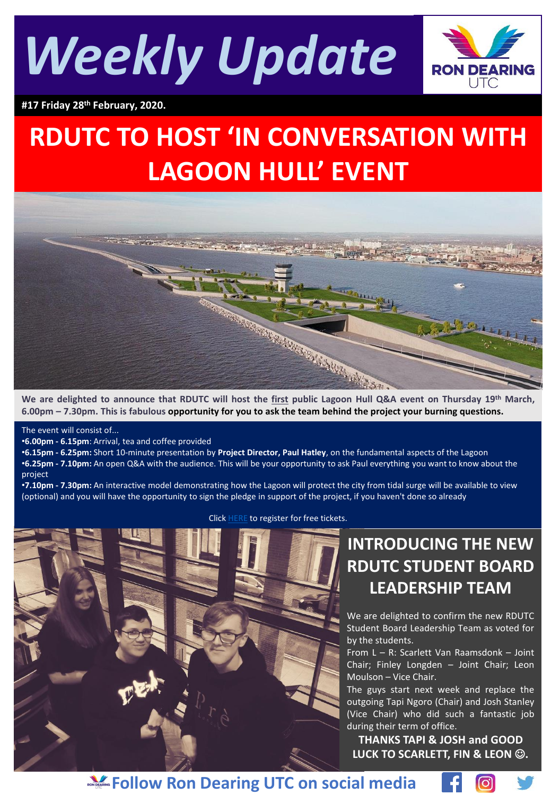



**#17 Friday 28th February, 2020.**

# **RDUTC TO HOST 'IN CONVERSATION WITH LAGOON HULL' EVENT**



6.00pm - 7.30pm. This is fabulous opportunity for you to ask the team behind the project your burning questions.

The event will consist of...

•**6.00pm - 6.15pm**: Arrival, tea and coffee provided

•**6.15pm - 6.25pm:** Short 10-minute presentation by **Project Director, Paul Hatley**, on the fundamental aspects of the Lagoon •**6.25pm - 7.10pm:** An open Q&A with the audience. This will be your opportunity to ask Paul everything you want to know about the project

•**7.10pm - 7.30pm:** An interactive model demonstrating how the Lagoon will protect the city from tidal surge will be available to view (optional) and you will have the opportunity to sign the pledge in support of the project, if you haven't done so already



Click [HERE](https://www.eventbrite.co.uk/e/in-conversation-with-lagoon-hull-tickets-92933070315) to register for free tickets.

# **INTRODUCING THE NEW RDUTC STUDENT BOARD LEADERSHIP TEAM**

We are delighted to confirm the new RDUTC Student Board Leadership Team as voted for by the students.

From L – R: Scarlett Van Raamsdonk – Joint Chair; Finley Longden – Joint Chair; Leon Moulson – Vice Chair.

The guys start next week and replace the outgoing Tapi Ngoro (Chair) and Josh Stanley (Vice Chair) who did such a fantastic job during their term of office.

**THANKS TAPI & JOSH and GOOD LUCK TO SCARLETT, FIN & LEON** ☺**.**

(ဝ)

**Follow Ron Dearing UTC on social media**